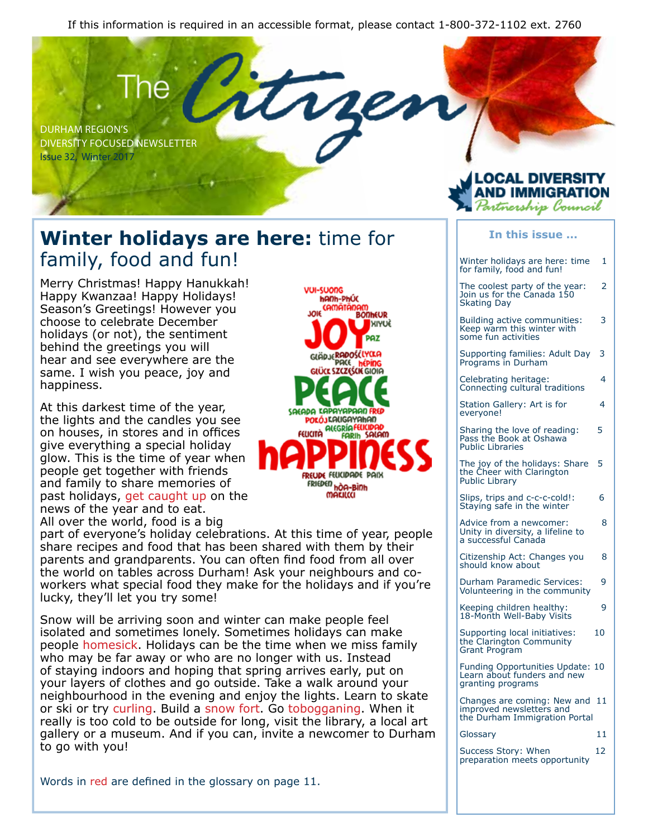If this information is required in an accessible format, please contact 1-800-372-1102 ext. 2760



### **Winter holidays are here:** time for family, food and fun!

Merry Christmas! Happy Hanukkah! Happy Kwanzaa! Happy Holidays! Season's Greetings! However you choose to celebrate December holidays (or not), the sentiment behind the greetings you will hear and see everywhere are the same. I wish you peace, joy and happiness.

At this darkest time of the year, the lights and the candles you see on houses, in stores and in offices give everything a special holiday glow. This is the time of year when people get together with friends and family to share memories of past holidays, get caught up on the news of the year and to eat. All over the world, food is a big

part of everyone's holiday celebrations. At this time of year, people share recipes and food that has been shared with them by their parents and grandparents. You can often find food from all over the world on tables across Durham! Ask your neighbours and coworkers what special food they make for the holidays and if you're lucky, they'll let you try some!

Snow will be arriving soon and winter can make people feel isolated and sometimes lonely. Sometimes holidays can make people homesick. Holidays can be the time when we miss family who may be far away or who are no longer with us. Instead of staying indoors and hoping that spring arrives early, put on your layers of clothes and go outside. Take a walk around your neighbourhood in the evening and enjoy the lights. Learn to skate or ski or try curling. Build a snow fort. Go tobogganing. When it really is too cold to be outside for long, visit the library, a local art gallery or a museum. And if you can, invite a newcomer to Durham to go with you!



#### **In this issue ...**

LOCAL DIVERSITY AND IMMIGRATION Partnership Conncil

Winter holidays are here: time 1 for family, food and fun! The coolest party of the year: 2 Join us for the Canada 150 Skating Day Building active communities: 3 Keep warm this winter with some fun activities Supporting families: Adult Day 3 Programs in Durham Celebrating heritage: 4 Connecting cultural traditions Station Gallery: Art is for 4 everyone! Sharing the love of reading: 5 Pass the Book at Oshawa Public Libraries The joy of the holidays: Share 5 the Cheer with Clarington Public Library Slips, trips and c-c-c-cold!: 6 Staying safe in the winter Advice from a newcomer: 8 Unity in diversity, a lifeline to a successful Canada Citizenship Act: Changes you 8 should know about Durham Paramedic Services: 9 Volunteering in the community Keeping children healthy: 9 18-Month Well-Baby Visits Supporting local initiatives: 10 the Clarington Community Grant Program Funding Opportunities Update: 10 Learn about funders and new granting programs Changes are coming: New and 11 improved newsletters and the Durham Immigration Portal Glossary 11 Success Story: When 12 preparation meets opportunity

Words in red are defined in the glossary on page 11.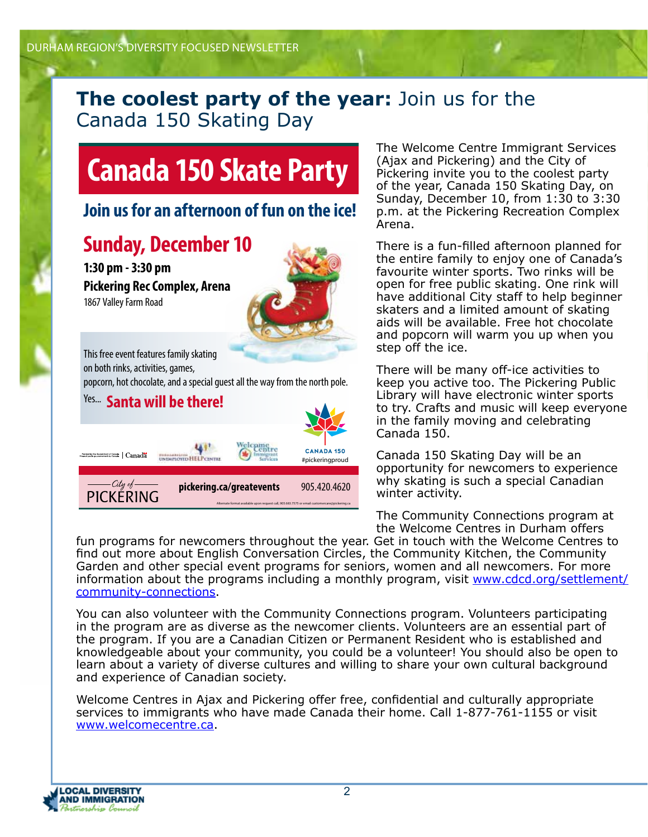### **The coolest party of the year:** Join us for the Canada 150 Skating Day

## **Canada 150 Skate Party**

### **Join us for an afternoon of fun on the ice!**

### **Sunday, December 10**

**1:30 pm - 3:30 pm Pickering Rec Complex, Arena** 1867 Valley Farm Road



This free event features family skating on both rinks, activities, games,

popcorn, hot chocolate, and a special guest all the way from the north pole.



The Welcome Centre Immigrant Services (Ajax and Pickering) and the City of Pickering invite you to the coolest party of the year, Canada 150 Skating Day, on Sunday, December 10, from 1:30 to 3:30 p.m. at the Pickering Recreation Complex Arena.

There is a fun-filled afternoon planned for the entire family to enjoy one of Canada's favourite winter sports. Two rinks will be open for free public skating. One rink will have additional City staff to help beginner skaters and a limited amount of skating aids will be available. Free hot chocolate and popcorn will warm you up when you step off the ice.

There will be many off-ice activities to keep you active too. The Pickering Public Library will have electronic winter sports to try. Crafts and music will keep everyone in the family moving and celebrating Canada 150.

Canada 150 Skating Day will be an opportunity for newcomers to experience why skating is such a special Canadian winter activity.

The Community Connections program at the Welcome Centres in Durham offers

fun programs for newcomers throughout the year. Get in touch with the Welcome Centres to find out more about English Conversation Circles, the Community Kitchen, the Community Garden and other special event programs for seniors, women and all newcomers. For more information about the programs including a monthly program, visit www.cdcd.org/settlement/ community-connections.

You can also volunteer with the Community Connections program. Volunteers participating in the program are as diverse as the newcomer clients. Volunteers are an essential part of the program. If you are a Canadian Citizen or Permanent Resident who is established and knowledgeable about your community, you could be a volunteer! You should also be open to learn about a variety of diverse cultures and willing to share your own cultural background and experience of Canadian society.

Welcome Centres in Ajax and Pickering offer free, confidential and culturally appropriate services to immigrants who have made Canada their home. Call 1-877-761-1155 or visit www.welcomecentre.ca.

**LOCAL DIVERSITY AND IMMIGRATION**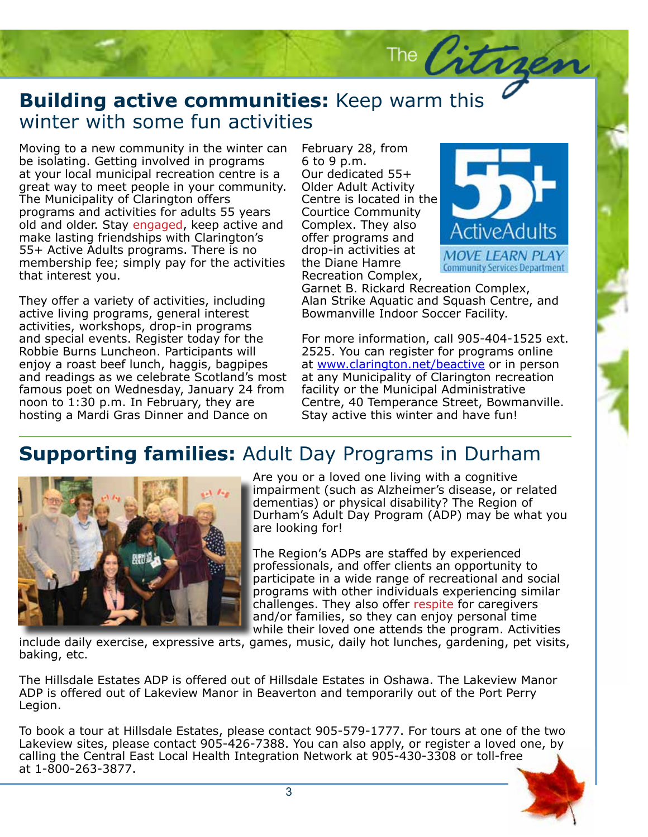### **Building active communities:** Keep warm this winter with some fun activities winter with some fun activities

Moving to a new community in the winter can<br>he isolating. Cotting involved in programs be isolating. Getting involved in programs at your local municipal recreation centre is a great way to meet people in your community. The Municipality of Clarington offers programs and activities for adults 55 years old and older. Stay engaged, keep active and make lasting friendships with Clarington's 55+ Active Adults programs. There is no membership fee; simply pay for the activities that interest you.

They offer a variety of activities, including active living programs, general interest activities, workshops, drop-in programs and special events. Register today for the Robbie Burns Luncheon. Participants will enjoy a roast beef lunch, haggis, bagpipes and readings as we celebrate Scotland's most famous poet on Wednesday, January 24 from noon to 1:30 p.m. In February, they are hosting a Mardi Gras Dinner and Dance on

February 28, from 6 to 9 p.m. Our dedicated 55+ Older Adult Activity Centre is located in the Courtice Community Complex. They also offer programs and drop-in activities at the Diane Hamre Recreation Complex,



Garnet B. Rickard Recreation Complex, Alan Strike Aquatic and Squash Centre, and Bowmanville Indoor Soccer Facility.

The Citra

Bowmanville Indoor Soccer Facility.<br>For more information, call 905-404-1525 ext. 2525. You can register for programs online<br>at <u>www.clarington.net/beactive</u> or in person 2525. You can register for programs online at any Municipality of Clarington recreation facility or the Municipal Administrative Centre, 40 Temperance Street, Bowmanville. Stay active this winter and have fun!

## **Supporting families:** Adult Day Programs in Durham



Are you or a loved one living with a cognitive impairment (such as Alzheimer's disease, or related dementias) or physical disability? The Region of Durham's Adult Day Program (ADP) may be what you are looking for!

The Region's ADPs are staffed by experienced professionals, and offer clients an opportunity to participate in a wide range of recreational and social programs with other individuals experiencing similar challenges. They also offer respite for caregivers and/or families, so they can enjoy personal time while their loved one attends the program. Activities

include daily exercise, expressive arts, games, music, daily hot lunches, gardening, pet visits, baking, etc.

The Hillsdale Estates ADP is offered out of Hillsdale Estates in Oshawa. The Lakeview Manor ADP is offered out of Lakeview Manor in Beaverton and temporarily out of the Port Perry Legion.

To book a tour at Hillsdale Estates, please contact 905-579-1777. For tours at one of the two Lakeview sites, please contact 905-426-7388. You can also apply, or register a loved one, by calling the Central East Local Health Integration Network at 905-430-3308 or toll-free at 1-800-263-3877.

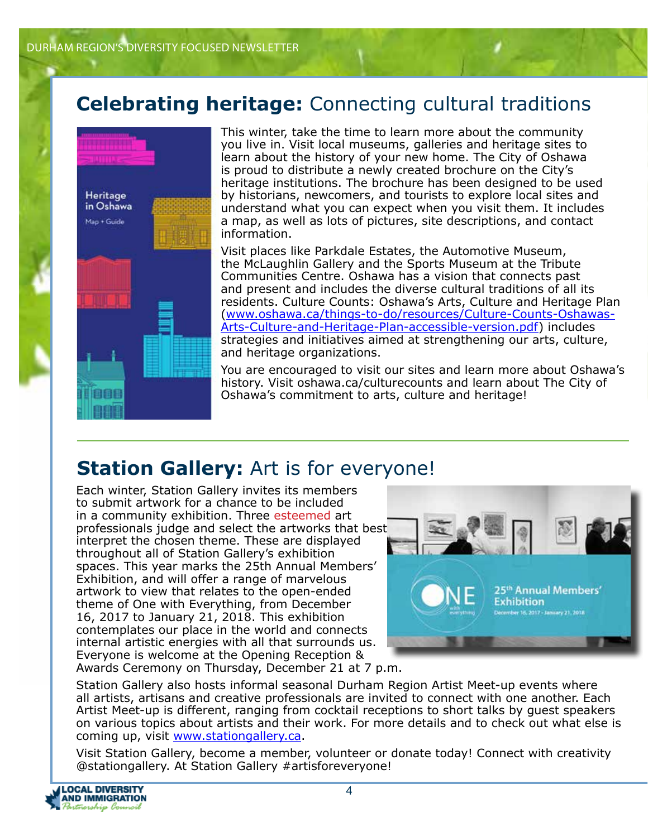## **Celebrating heritage:** Connecting cultural traditions



This winter, take the time to learn more about the community you live in. Visit local museums, galleries and heritage sites to learn about the history of your new home. The City of Oshawa is proud to distribute a newly created brochure on the City's heritage institutions. The brochure has been designed to be used by historians, newcomers, and tourists to explore local sites and understand what you can expect when you visit them. It includes a map, as well as lots of pictures, site descriptions, and contact information.

Visit places like Parkdale Estates, the Automotive Museum, the McLaughlin Gallery and the Sports Museum at the Tribute Communities Centre. Oshawa has a vision that connects past and present and includes the diverse cultural traditions of all its residents. Culture Counts: Oshawa's Arts, Culture and Heritage Plan (www.oshawa.ca/things-to-do/resources/Culture-Counts-Oshawas-Arts-Culture-and-Heritage-Plan-accessible-version.pdf) includes strategies and initiatives aimed at strengthening our arts, culture, and heritage organizations.

You are encouraged to visit our sites and learn more about Oshawa's history. Visit oshawa.ca/culturecounts and learn about The City of Oshawa's commitment to arts, culture and heritage!

## **Station Gallery:** Art is for everyone!

Each winter, Station Gallery invites its members to submit artwork for a chance to be included in a community exhibition. Three esteemed art professionals judge and select the artworks that best interpret the chosen theme. These are displayed throughout all of Station Gallery's exhibition spaces. This year marks the 25th Annual Members' Exhibition, and will offer a range of marvelous artwork to view that relates to the open-ended theme of One with Everything, from December 16, 2017 to January 21, 2018. This exhibition contemplates our place in the world and connects internal artistic energies with all that surrounds us. Everyone is welcome at the Opening Reception &



Awards Ceremony on Thursday, December 21 at 7 p.m.

Station Gallery also hosts informal seasonal Durham Region Artist Meet-up events where all artists, artisans and creative professionals are invited to connect with one another. Each Artist Meet-up is different, ranging from cocktail receptions to short talks by guest speakers on various topics about artists and their work. For more details and to check out what else is coming up, visit www.stationgallery.ca.

Visit Station Gallery, become a member, volunteer or donate today! Connect with creativity @stationgallery. At Station Gallery #artisforeveryone!

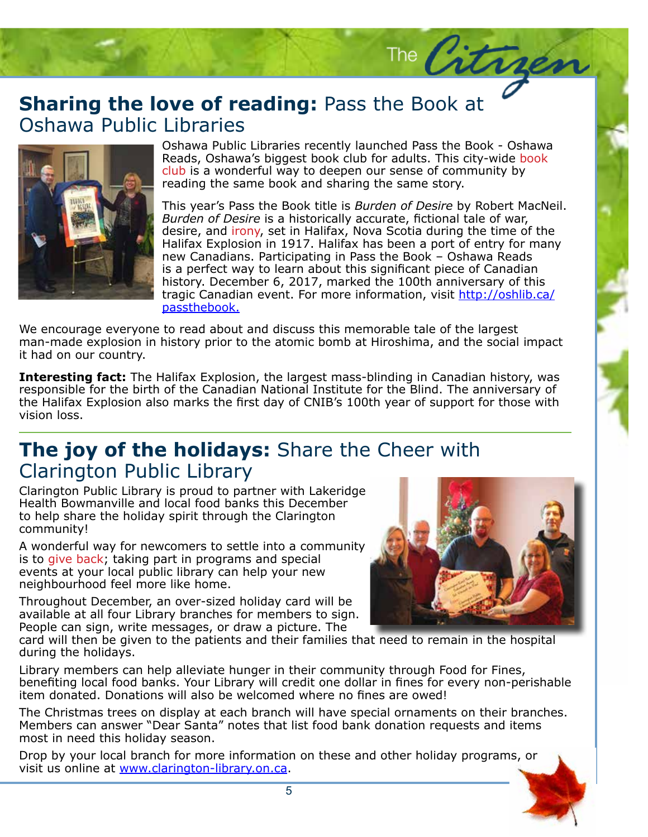## **Sharing the love of reading:** Pass the Book at Oshawa Public Libraries Oshawa Public Libraries



Oshawa Public Libraries recently launched Pass the Book - Oshawa Reads, Oshawa's biggest book club for adults. This city-wide book club is a wonderful way to deepen our sense of community by reading the same book and sharing the same story.

This year's Pass the Book title is *Burden of Desire* by Robert MacNeil. *Burden of Desire* is a historically accurate, fictional tale of war, desire, and *irony*, set in Halifax, Nova Scotia during the time of the Halifax Explosion in 1917. Halifax has been a port of entry for many new Canadians. Participating in Pass the Book – Oshawa Reads is a perfect way to learn about this significant piece of Canadian history. December 6, 2017, marked the 100th anniversary of this tragic Canadian event. For more information, visit http://oshlib.ca/ passthebook.

We encourage everyone to read about and discuss this memorable tale of the largest man-made explosion in history prior to the atomic bomb at Hiroshima, and the social impact it had on our country.

**Interesting fact:** The Halifax Explosion, the largest mass-blinding in Canadian history, was responsible for the birth of the Canadian National Institute for the Blind. The anniversary of the Halifax Explosion also marks the first day of CNIB's 100th year of support for those with vision loss.

### **The joy of the holidays:** Share the Cheer with Clarington Public Library

Clarington Public Library is proud to partner with Lakeridge Health Bowmanville and local food banks this December to help share the holiday spirit through the Clarington community!

A wonderful way for newcomers to settle into a community is to give back; taking part in programs and special events at your local public library can help your new neighbourhood feel more like home.

Throughout December, an over-sized holiday card will be available at all four Library branches for members to sign. People can sign, write messages, or draw a picture. The



The Citrae

card will then be given to the patients and their families that need to remain in the hospital during the holidays.

Library members can help alleviate hunger in their community through Food for Fines, benefiting local food banks. Your Library will credit one dollar in fines for every non-perishable item donated. Donations will also be welcomed where no fines are owed!

The Christmas trees on display at each branch will have special ornaments on their branches. Members can answer "Dear Santa" notes that list food bank donation requests and items most in need this holiday season.

Drop by your local branch for more information on these and other holiday programs, or visit us online at www.clarington-library.on.ca.

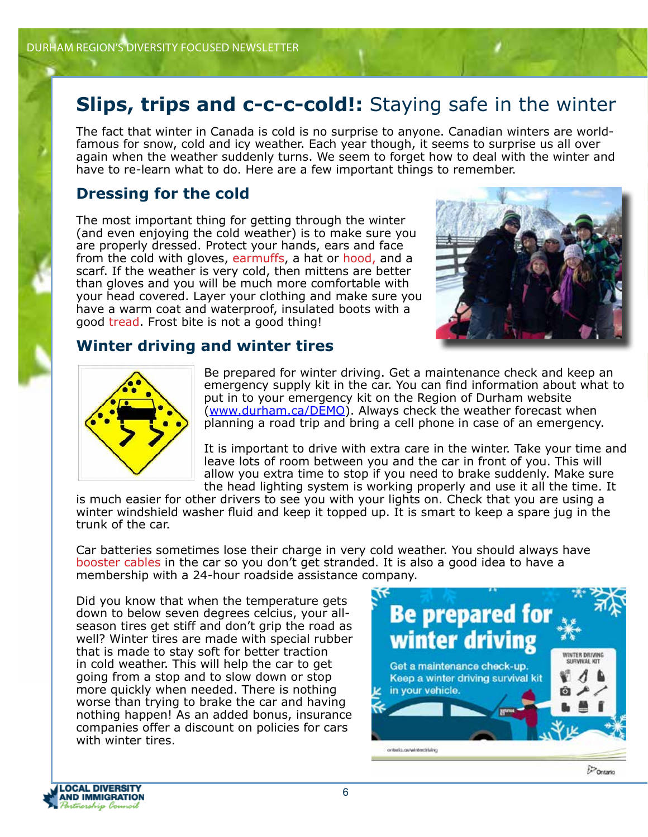## **Slips, trips and c-c-c-cold!:** Staying safe in the winter

The fact that winter in Canada is cold is no surprise to anyone. Canadian winters are worldfamous for snow, cold and icy weather. Each year though, it seems to surprise us all over again when the weather suddenly turns. We seem to forget how to deal with the winter and have to re-learn what to do. Here are a few important things to remember.

### **Dressing for the cold**

The most important thing for getting through the winter (and even enjoying the cold weather) is to make sure you are properly dressed. Protect your hands, ears and face from the cold with gloves, earmuffs, a hat or hood, and a scarf. If the weather is very cold, then mittens are better than gloves and you will be much more comfortable with your head covered. Layer your clothing and make sure you have a warm coat and waterproof, insulated boots with a good tread. Frost bite is not a good thing!



### **Winter driving and winter tires**



Be prepared for winter driving. Get a maintenance check and keep an emergency supply kit in the car. You can find information about what to put in to your emergency kit on the Region of Durham website (www.durham.ca/DEMO). Always check the weather forecast when planning a road trip and bring a cell phone in case of an emergency.

It is important to drive with extra care in the winter. Take your time and leave lots of room between you and the car in front of you. This will allow you extra time to stop if you need to brake suddenly. Make sure the head lighting system is working properly and use it all the time. It

is much easier for other drivers to see you with your lights on. Check that you are using a winter windshield washer fluid and keep it topped up. It is smart to keep a spare jug in the trunk of the car.

Car batteries sometimes lose their charge in very cold weather. You should always have booster cables in the car so you don't get stranded. It is also a good idea to have a membership with a 24-hour roadside assistance company.

Did you know that when the temperature gets down to below seven degrees celcius, your allseason tires get stiff and don't grip the road as well? Winter tires are made with special rubber that is made to stay soft for better traction in cold weather. This will help the car to get going from a stop and to slow down or stop more quickly when needed. There is nothing worse than trying to brake the car and having nothing happen! As an added bonus, insurance companies offer a discount on policies for cars with winter tires.



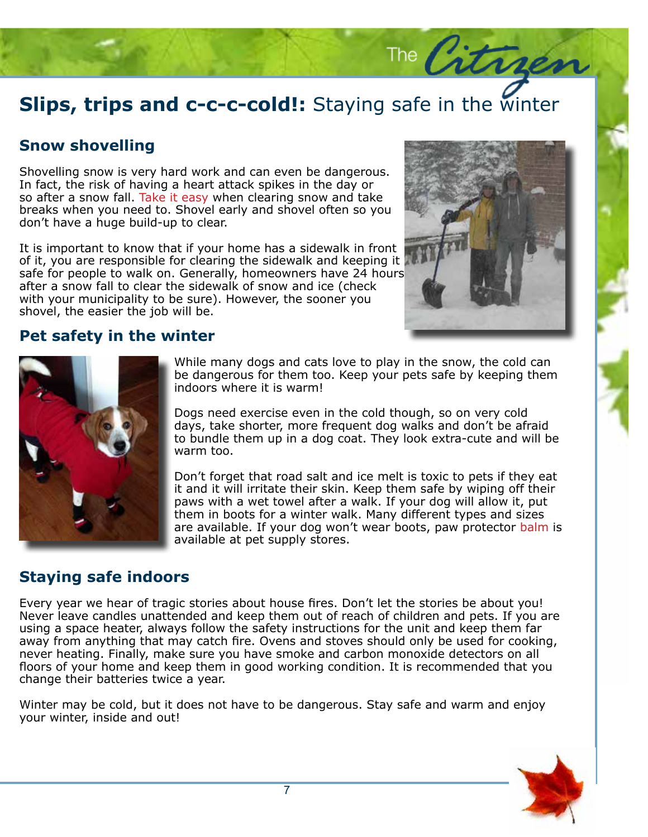# **Slips, trips and c-c-c-cold!:** Staying safe in the winter

### **Snow shovelling**

Shovelling snow is very hard work and can even be dangerous. In fact, the risk of having a heart attack spikes in the day or so after a snow fall. Take it easy when clearing snow and take breaks when you need to. Shovel early and shovel often so you don't have a huge build-up to clear.

It is important to know that if your home has a sidewalk in front of it, you are responsible for clearing the sidewalk and keeping it safe for people to walk on. Generally, homeowners have 24 hours after a snow fall to clear the sidewalk of snow and ice (check with your municipality to be sure). However, the sooner you shovel, the easier the job will be.



The Citrae

### **Pet safety in the winter**



While many dogs and cats love to play in the snow, the cold can be dangerous for them too. Keep your pets safe by keeping them indoors where it is warm!

Dogs need exercise even in the cold though, so on very cold days, take shorter, more frequent dog walks and don't be afraid to bundle them up in a dog coat. They look extra-cute and will be warm too.

Don't forget that road salt and ice melt is toxic to pets if they eat it and it will irritate their skin. Keep them safe by wiping off their paws with a wet towel after a walk. If your dog will allow it, put them in boots for a winter walk. Many different types and sizes are available. If your dog won't wear boots, paw protector balm is available at pet supply stores.

### **Staying safe indoors**

Every year we hear of tragic stories about house fires. Don't let the stories be about you! Never leave candles unattended and keep them out of reach of children and pets. If you are using a space heater, always follow the safety instructions for the unit and keep them far away from anything that may catch fire. Ovens and stoves should only be used for cooking, never heating. Finally, make sure you have smoke and carbon monoxide detectors on all floors of your home and keep them in good working condition. It is recommended that you change their batteries twice a year.

Winter may be cold, but it does not have to be dangerous. Stay safe and warm and enjoy your winter, inside and out!

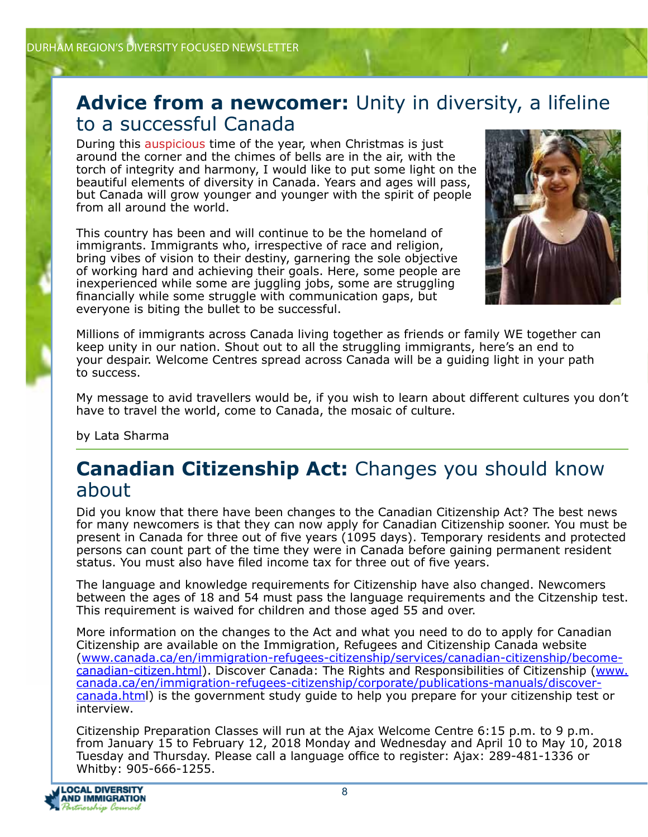### **Advice from a newcomer:** Unity in diversity, a lifeline to a successful Canada

During this auspicious time of the year, when Christmas is just around the corner and the chimes of bells are in the air, with the torch of integrity and harmony, I would like to put some light on the beautiful elements of diversity in Canada. Years and ages will pass, but Canada will grow younger and younger with the spirit of people from all around the world.

This country has been and will continue to be the homeland of immigrants. Immigrants who, irrespective of race and religion, bring vibes of vision to their destiny, garnering the sole objective of working hard and achieving their goals. Here, some people are inexperienced while some are juggling jobs, some are struggling financially while some struggle with communication gaps, but everyone is biting the bullet to be successful.



Millions of immigrants across Canada living together as friends or family WE together can keep unity in our nation. Shout out to all the struggling immigrants, here's an end to your despair. Welcome Centres spread across Canada will be a guiding light in your path to success.

My message to avid travellers would be, if you wish to learn about different cultures you don't have to travel the world, come to Canada, the mosaic of culture.

by Lata Sharma

### **Canadian Citizenship Act:** Changes you should know about

Did you know that there have been changes to the Canadian Citizenship Act? The best news for many newcomers is that they can now apply for Canadian Citizenship sooner. You must be present in Canada for three out of five years (1095 days). Temporary residents and protected persons can count part of the time they were in Canada before gaining permanent resident status. You must also have filed income tax for three out of five years.

The language and knowledge requirements for Citizenship have also changed. Newcomers between the ages of 18 and 54 must pass the language requirements and the Citzenship test. This requirement is waived for children and those aged 55 and over.

More information on the changes to the Act and what you need to do to apply for Canadian Citizenship are available on the Immigration, Refugees and Citizenship Canada website (www.canada.ca/en/immigration-refugees-citizenship/services/canadian-citizenship/becomecanadian-citizen.html). Discover Canada: The Rights and Responsibilities of Citizenship (www. canada.ca/en/immigration-refugees-citizenship/corporate/publications-manuals/discovercanada.html) is the government study guide to help you prepare for your citizenship test or interview.

Citizenship Preparation Classes will run at the Ajax Welcome Centre 6:15 p.m. to 9 p.m. from January 15 to February 12, 2018 Monday and Wednesday and April 10 to May 10, 2018 Tuesday and Thursday. Please call a language office to register: Ajax: 289-481-1336 or Whitby: 905-666-1255.

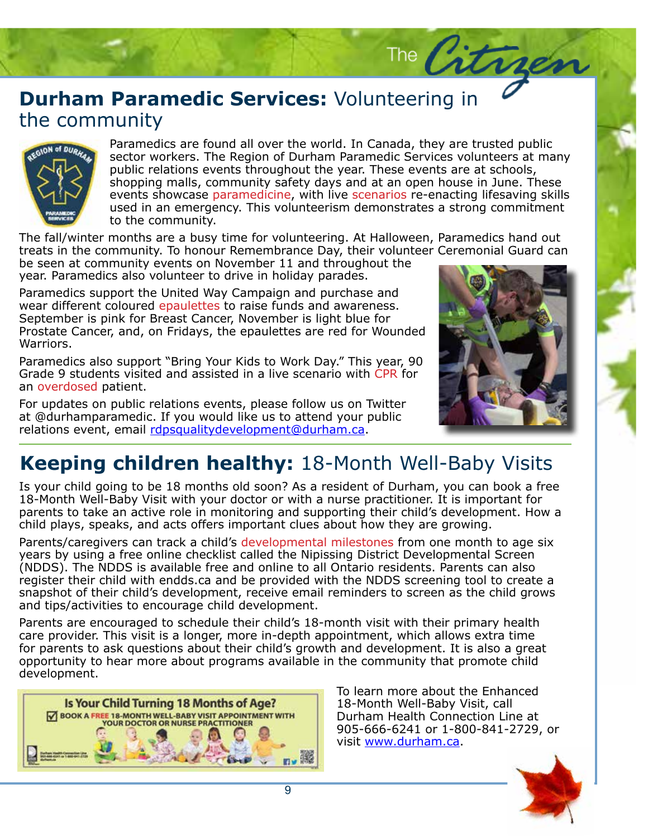## **Durham Paramedic Services:** Volunteering in the community the community



Paramedics are found all over the world. In Canada, they are trusted public<br>sector workers. The Region of Durham Paramedic Services volunteers at many public relations events throughout the year. These events are at schools, shopping malls, community safety days and at an open house in June. These events showedse parameticine, with the secretives to endeding incsering skins to the community.  $\sim$ Paramedics are found all over the world. In Canada, they are trusted public events showcase paramedicine, with live scenarios re-enacting lifesaving skills

The fall/winter months are a busy time for volunteering. At Halloween, Paramedics hand out Intertal, metal, metal, matrix in the community. To honour Remembrance Day, their volunteer Ceremonial Guard can

be seen at community events on November 11 and throughout the year. Paramedics also volunteer to drive in holiday parades.

Paramedics support the United Way Campaign and purchase and wear different coloured epaulettes to raise funds and awareness. September is pink for Breast Cancer, November is light blue for Prostate Cancer, and, on Fridays, the epaulettes are red for Wounded Warriors.

Paramedics also support "Bring Your Kids to Work Day." This year, 90 Grade 9 students visited and assisted in a live scenario with CPR for an overdosed patient.

For updates on public relations events, please follow us on Twitter at @durhamparamedic. If you would like us to attend your public relations event, email rdpsqualitydevelopment@durham.ca.



The Citract

## **Keeping children healthy:** 18-Month Well-Baby Visits

Is your child going to be 18 months old soon? As a resident of Durham, you can book a free 18-Month Well-Baby Visit with your doctor or with a nurse practitioner. It is important for parents to take an active role in monitoring and supporting their child's development. How a child plays, speaks, and acts offers important clues about how they are growing.

Parents/caregivers can track a child's developmental milestones from one month to age six years by using a free online checklist called the Nipissing District Developmental Screen (NDDS). The NDDS is available free and online to all Ontario residents. Parents can also register their child with endds.ca and be provided with the NDDS screening tool to create a snapshot of their child's development, receive email reminders to screen as the child grows and tips/activities to encourage child development.

Parents are encouraged to schedule their child's 18-month visit with their primary health care provider. This visit is a longer, more in-depth appointment, which allows extra time for parents to ask questions about their child's growth and development. It is also a great opportunity to hear more about programs available in the community that promote child development.



To learn more about the Enhanced 18-Month Well-Baby Visit, call Durham Health Connection Line at 905-666-6241 or 1-800-841-2729, or visit www.durham.ca.

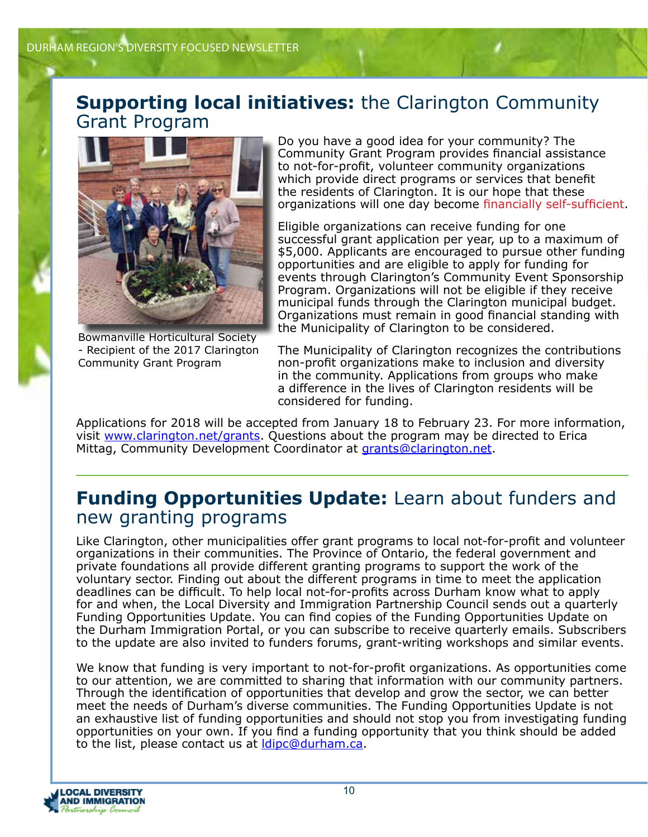### **Supporting local initiatives:** the Clarington Community Grant Program



Bowmanville Horticultural Society - Recipient of the 2017 Clarington Community Grant Program

Do you have a good idea for your community? The Community Grant Program provides financial assistance to not-for-profit, volunteer community organizations which provide direct programs or services that benefit the residents of Clarington. It is our hope that these organizations will one day become financially self-sufficient.

Eligible organizations can receive funding for one successful grant application per year, up to a maximum of \$5,000. Applicants are encouraged to pursue other funding opportunities and are eligible to apply for funding for events through Clarington's Community Event Sponsorship Program. Organizations will not be eligible if they receive municipal funds through the Clarington municipal budget. Organizations must remain in good financial standing with the Municipality of Clarington to be considered.

The Municipality of Clarington recognizes the contributions non-profit organizations make to inclusion and diversity in the community. Applications from groups who make a difference in the lives of Clarington residents will be considered for funding.

Applications for 2018 will be accepted from January 18 to February 23. For more information, visit www.clarington.net/grants. Questions about the program may be directed to Erica Mittag, Community Development Coordinator at grants@clarington.net.

### **Funding Opportunities Update:** Learn about funders and new granting programs

Like Clarington, other municipalities offer grant programs to local not-for-profit and volunteer organizations in their communities. The Province of Ontario, the federal government and private foundations all provide different granting programs to support the work of the voluntary sector. Finding out about the different programs in time to meet the application deadlines can be difficult. To help local not-for-profits across Durham know what to apply for and when, the Local Diversity and Immigration Partnership Council sends out a quarterly Funding Opportunities Update. You can find copies of the Funding Opportunities Update on the Durham Immigration Portal, or you can subscribe to receive quarterly emails. Subscribers to the update are also invited to funders forums, grant-writing workshops and similar events.

We know that funding is very important to not-for-profit organizations. As opportunities come to our attention, we are committed to sharing that information with our community partners. Through the identification of opportunities that develop and grow the sector, we can better meet the needs of Durham's diverse communities. The Funding Opportunities Update is not an exhaustive list of funding opportunities and should not stop you from investigating funding opportunities on your own. If you find a funding opportunity that you think should be added to the list, please contact us at **dipc@durham.ca**.

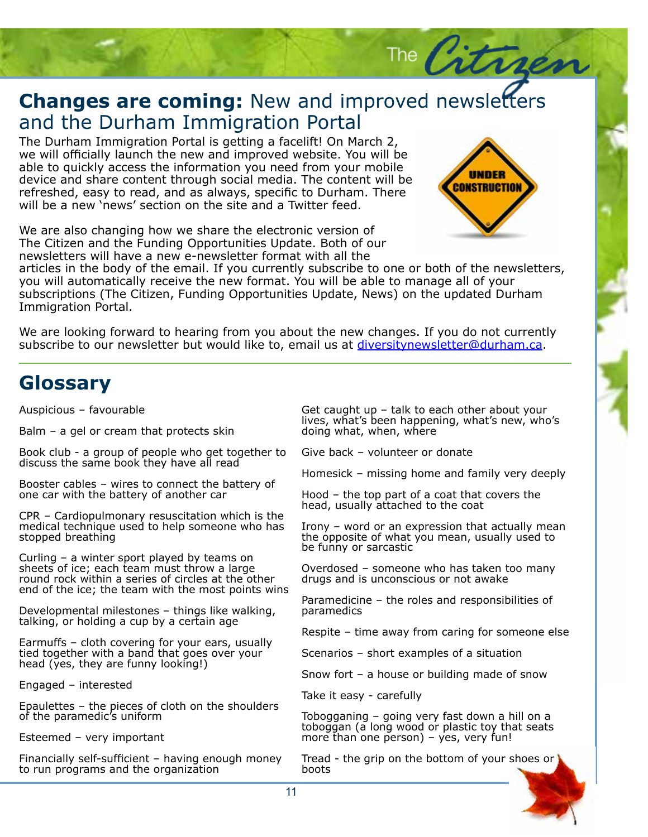### **Changes are coming:** New and improved newsletters and the Durham Immigration Portal and the Durham Immigration Portal

The Durham Immigration Portal is getting a facelift! On March 2, we will officially launch the new and improved website. You will be able to quickly access the information you need from your mobile device and share content through social media. The content will be refreshed, easy to read, and as always, specific to Durham. There will be a new 'news' section on the site and a Twitter feed.

We are also changing how we share the electronic version of The Citizen and the Funding Opportunities Update. Both of our newsletters will have a new e-newsletter format with all the



The City

Story Headquarter (1986)<br>Story Headquarter (1986)<br>Story Headquarter (1986)

articles in the body of the email. If you currently subscribe to one or both of the newsletters, you will automatically receive the new format. You will be able to manage all of your subscriptions (The Citizen, Funding Opportunities Update, News) on the updated Durham Immigration Portal.

We are looking forward to hearing from you about the new changes. If you do not currently subscribe to our newsletter but would like to, email us at diversitynewsletter@durham.ca.

### **Glossary**

Auspicious – favourable

Balm – a gel or cream that protects skin

Book club - a group of people who get together to discuss the same book they have all read

Booster cables – wires to connect the battery of one car with the battery of another car

CPR – Cardiopulmonary resuscitation which is the medical technique used to help someone who has stopped breathing

Curling – a winter sport played by teams on sheets of ice; each team must throw a large round rock within a series of circles at the other end of the ice; the team with the most points wins

Developmental milestones – things like walking, talking, or holding a cup by a certain age

Earmuffs – cloth covering for your ears, usually tied together with a band that goes over your head (yes, they are funny looking!)

Engaged – interested

Epaulettes – the pieces of cloth on the shoulders of the paramedic's uniform

Esteemed – very important

Financially self-sufficient – having enough money to run programs and the organization

Get caught up – talk to each other about your lives, what's been happening, what's new, who's doing what, when, where

Give back – volunteer or donate

Homesick – missing home and family very deeply

Hood – the top part of a coat that covers the head, usually attached to the coat

Irony – word or an expression that actually mean the opposite of what you mean, usually used to be funny or sarcastic

Overdosed – someone who has taken too many drugs and is unconscious or not awake

Paramedicine – the roles and responsibilities of paramedics

Respite – time away from caring for someone else

Scenarios – short examples of a situation

Snow fort – a house or building made of snow

Take it easy - carefully

Tobogganing – going very fast down a hill on a toboggan (a long wood or plastic toy that seats more than one person) – yes, very fun!

Tread - the grip on the bottom of your shoes or boots